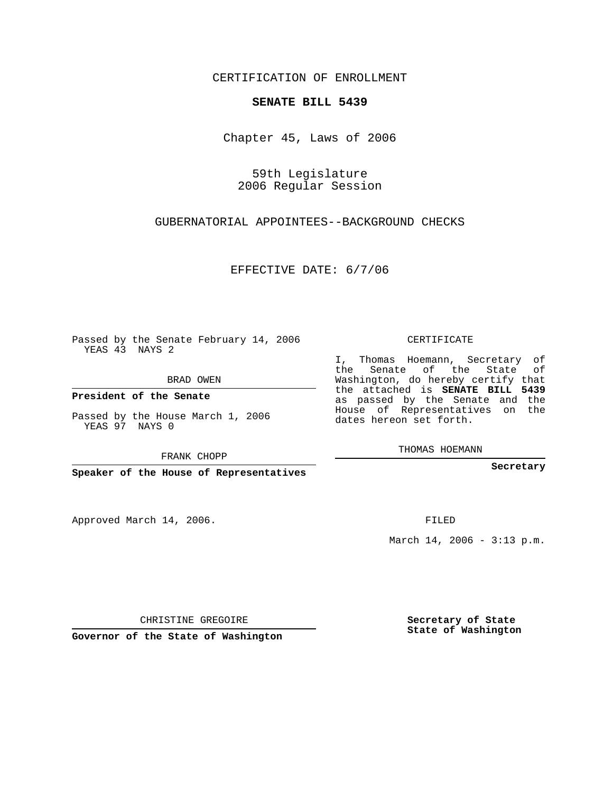CERTIFICATION OF ENROLLMENT

## **SENATE BILL 5439**

Chapter 45, Laws of 2006

59th Legislature 2006 Regular Session

GUBERNATORIAL APPOINTEES--BACKGROUND CHECKS

EFFECTIVE DATE: 6/7/06

Passed by the Senate February 14, 2006 YEAS 43 NAYS 2

BRAD OWEN

**President of the Senate**

Passed by the House March 1, 2006 YEAS 97 NAYS 0

FRANK CHOPP

**Speaker of the House of Representatives**

Approved March 14, 2006.

CERTIFICATE

I, Thomas Hoemann, Secretary of the Senate of the State of Washington, do hereby certify that the attached is **SENATE BILL 5439** as passed by the Senate and the House of Representatives on the dates hereon set forth.

THOMAS HOEMANN

**Secretary**

FILED

March 14, 2006 - 3:13 p.m.

CHRISTINE GREGOIRE

**Governor of the State of Washington**

**Secretary of State State of Washington**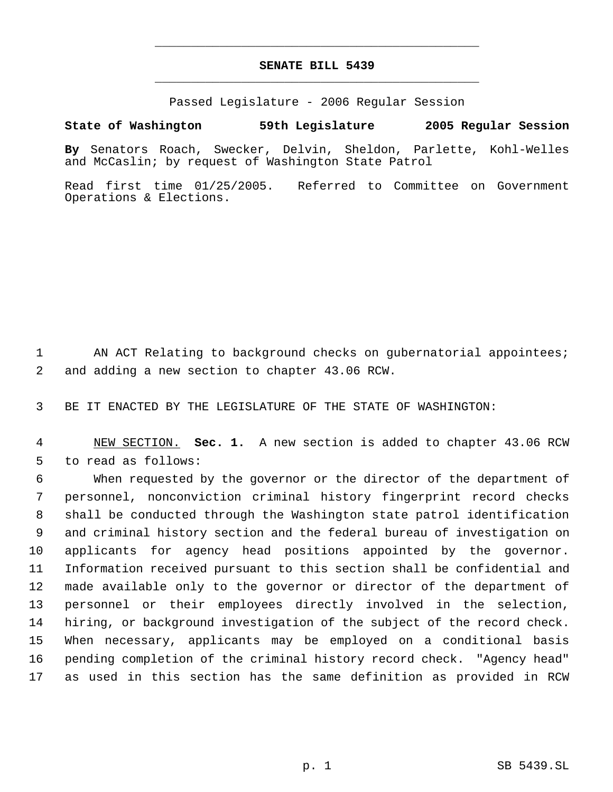## **SENATE BILL 5439** \_\_\_\_\_\_\_\_\_\_\_\_\_\_\_\_\_\_\_\_\_\_\_\_\_\_\_\_\_\_\_\_\_\_\_\_\_\_\_\_\_\_\_\_\_

\_\_\_\_\_\_\_\_\_\_\_\_\_\_\_\_\_\_\_\_\_\_\_\_\_\_\_\_\_\_\_\_\_\_\_\_\_\_\_\_\_\_\_\_\_

Passed Legislature - 2006 Regular Session

## **State of Washington 59th Legislature 2005 Regular Session**

**By** Senators Roach, Swecker, Delvin, Sheldon, Parlette, Kohl-Welles and McCaslin; by request of Washington State Patrol

Read first time 01/25/2005. Referred to Committee on Government Operations & Elections.

1 AN ACT Relating to background checks on gubernatorial appointees; 2 and adding a new section to chapter 43.06 RCW.

3 BE IT ENACTED BY THE LEGISLATURE OF THE STATE OF WASHINGTON:

 4 NEW SECTION. **Sec. 1.** A new section is added to chapter 43.06 RCW 5 to read as follows:

 When requested by the governor or the director of the department of personnel, nonconviction criminal history fingerprint record checks shall be conducted through the Washington state patrol identification and criminal history section and the federal bureau of investigation on applicants for agency head positions appointed by the governor. Information received pursuant to this section shall be confidential and made available only to the governor or director of the department of personnel or their employees directly involved in the selection, hiring, or background investigation of the subject of the record check. When necessary, applicants may be employed on a conditional basis pending completion of the criminal history record check. "Agency head" as used in this section has the same definition as provided in RCW